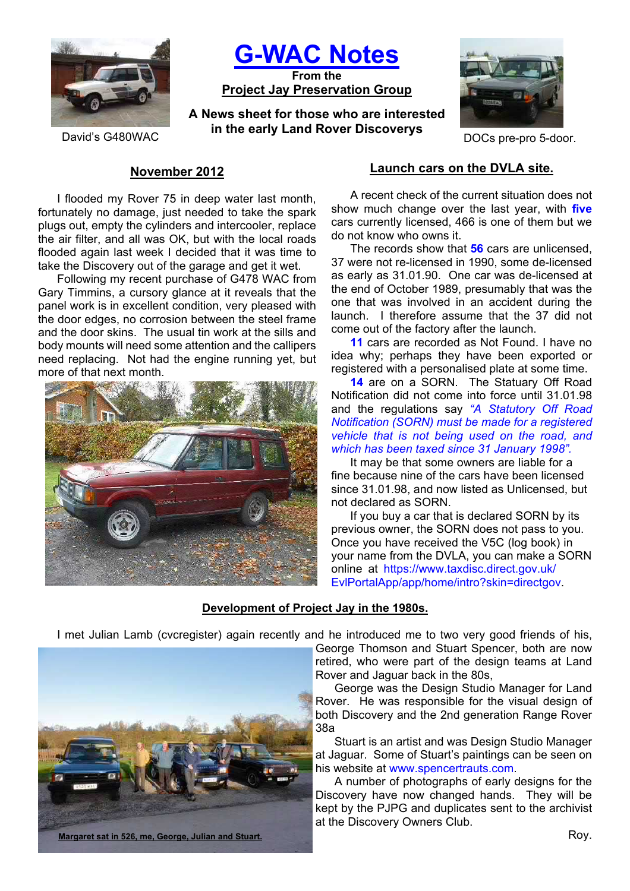

**G-WAC Notes**

**From the Project Jay Preservation Group**

**A News sheet for those who are interested in the early Land Rover Discoverys** David's G480WAC **DOCs** pre-pro 5-door.



# **November 2012**

I flooded my Rover 75 in deep water last month, fortunately no damage, just needed to take the spark plugs out, empty the cylinders and intercooler, replace the air filter, and all was OK, but with the local roads flooded again last week I decided that it was time to take the Discovery out of the garage and get it wet.

Following my recent purchase of G478 WAC from Gary Timmins, a cursory glance at it reveals that the panel work is in excellent condition, very pleased with the door edges, no corrosion between the steel frame and the door skins. The usual tin work at the sills and body mounts will need some attention and the callipers need replacing. Not had the engine running yet, but more of that next month.



### **Launch cars on the DVLA site.**

A recent check of the current situation does not show much change over the last year, with **five** cars currently licensed, 466 is one of them but we do not know who owns it.

The records show that **56** cars are unlicensed, 37 were not re-licensed in 1990, some de-licensed as early as 31.01.90. One car was de-licensed at the end of October 1989, presumably that was the one that was involved in an accident during the launch. I therefore assume that the 37 did not come out of the factory after the launch.

**11** cars are recorded as Not Found. I have no idea why; perhaps they have been exported or registered with a personalised plate at some time.

**14** are on a SORN. The Statuary Off Road Notification did not come into force until 31.01.98 and the regulations say *"A Statutory Off Road Notification (SORN) must be made for a registered vehicle that is not being used on the road, and which has been taxed since 31 January 1998".*

It may be that some owners are liable for a fine because nine of the cars have been licensed since 31.01.98, and now listed as Unlicensed, but not declared as SORN.

If you buy a car that is declared SORN by its previous owner, the SORN does not pass to you. Once you have received the V5C (log book) in your name from the DVLA, you can make a SORN online at https://www.taxdisc.direct.gov.uk/ EvlPortalApp/app/home/intro?skin=directgov.

## **Development of Project Jay in the 1980s.**

I met Julian Lamb (cvcregister) again recently and he introduced me to two very good friends of his,



George Thomson and Stuart Spencer, both are now retired, who were part of the design teams at Land Rover and Jaguar back in the 80s,

George was the Design Studio Manager for Land Rover. He was responsible for the visual design of both Discovery and the 2nd generation Range Rover 38a

Stuart is an artist and was Design Studio Manager at Jaguar. Some of Stuart's paintings can be seen on his website at www.spencertrauts.com.

A number of photographs of early designs for the Discovery have now changed hands. They will be kept by the PJPG and duplicates sent to the archivist at the Discovery Owners Club.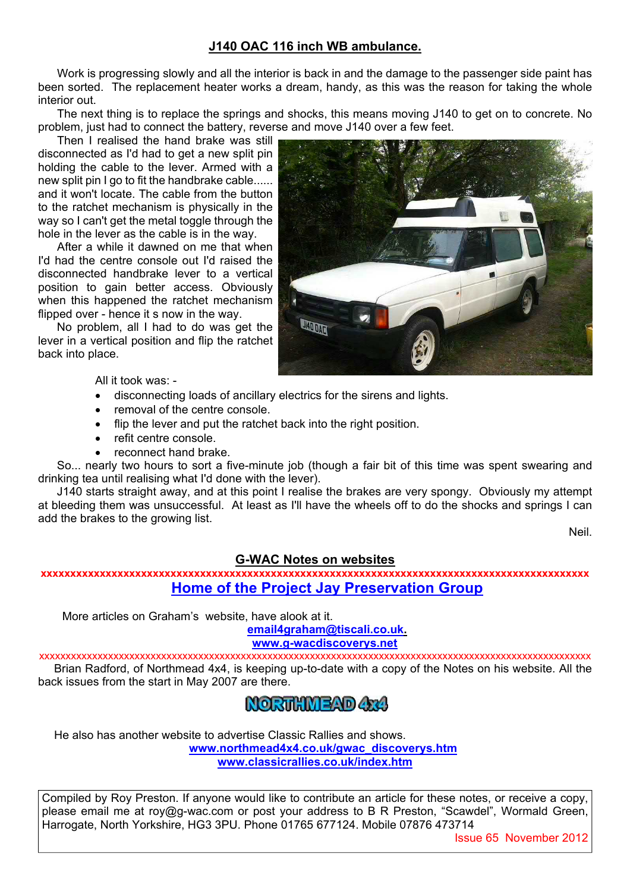## **J140 OAC 116 inch WB ambulance.**

Work is progressing slowly and all the interior is back in and the damage to the passenger side paint has been sorted. The replacement heater works a dream, handy, as this was the reason for taking the whole interior out.

The next thing is to replace the springs and shocks, this means moving J140 to get on to concrete. No problem, just had to connect the battery, reverse and move J140 over a few feet.

Then I realised the hand brake was still disconnected as I'd had to get a new split pin holding the cable to the lever. Armed with a new split pin I go to fit the handbrake cable...... and it won't locate. The cable from the button to the ratchet mechanism is physically in the way so I can't get the metal toggle through the hole in the lever as the cable is in the way.

After a while it dawned on me that when I'd had the centre console out I'd raised the disconnected handbrake lever to a vertical position to gain better access. Obviously when this happened the ratchet mechanism flipped over - hence it s now in the way.

No problem, all I had to do was get the lever in a vertical position and flip the ratchet back into place.



All it took was: -

- disconnecting loads of ancillary electrics for the sirens and lights.
- removal of the centre console.
- flip the lever and put the ratchet back into the right position.
- refit centre console.
- reconnect hand brake.

So... nearly two hours to sort a five-minute job (though a fair bit of this time was spent swearing and drinking tea until realising what I'd done with the lever).

J140 starts straight away, and at this point I realise the brakes are very spongy. Obviously my attempt at bleeding them was unsuccessful. At least as I'll have the wheels off to do the shocks and springs I can add the brakes to the growing list.

Neil.

## **G-WAC Notes on websites**

**xxxxxxxxxxxxxxxxxxxxxxxxxxxxxxxxxxxxxxxxxxxxxxxxxxxxxxxxxxxxxxxxxxxxxxxxxxxxxxxxxxxxxxxxxxxxx Home of the Project Jay Preservation Group**

More articles on Graham's website, have alook at it.

**email4graham@tiscali.co.uk. www.g-wacdiscoverys.net**

xxxxxxxxxxxxxxxxxxxxxxxxxxxxxxxxxxxxxxxxxxxxxxxxxxxxxxxxxxxxxxxxxxxxxxxxxxxxxxxxxxxxxxxxxxxxxxxxxxxxxxxx Brian Radford, of Northmead 4x4, is keeping up-to-date with a copy of the Notes on his website. All the back issues from the start in May 2007 are there.



He also has another website to advertise Classic Rallies and shows. **www.northmead4x4.co.uk/gwac\_discoverys.htm www.classicrallies.co.uk/index.htm**

Compiled by Roy Preston. If anyone would like to contribute an article for these notes, or receive a copy, please email me at roy@g-wac.com or post your address to B R Preston, "Scawdel", Wormald Green, Harrogate, North Yorkshire, HG3 3PU. Phone 01765 677124. Mobile 07876 473714

Issue 65 November 2012